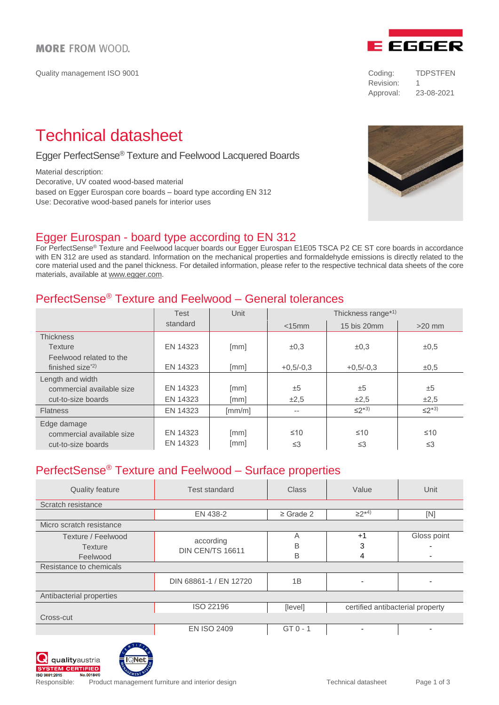Quality management ISO 9001 Coding: TDPSTFEN

# **E EGGER**

Revision: 1 Approval: 23-08-2021

# Technical datasheet

#### Egger PerfectSense® Texture and Feelwood Lacquered Boards

Material description:

Decorative, UV coated wood-based material based on Egger Eurospan core boards – board type according EN 312 Use: Decorative wood-based panels for interior uses

## Egger Eurospan - board type according to EN 312

For PerfectSense® Texture and Feelwood lacquer boards our Egger Eurospan E1E05 TSCA P2 CE ST core boards in accordance with EN 312 are used as standard. Information on the mechanical properties and formaldehyde emissions is directly related to the core material used and the panel thickness. For detailed information, please refer to the respective technical data sheets of the core materials, available a[t www.egger.com.](http://www.egger.com/)

## PerfectSense® Texture and Feelwood – General tolerances

|                                          | <b>Test</b><br>standard | Unit   | Thickness range*1) |             |             |
|------------------------------------------|-------------------------|--------|--------------------|-------------|-------------|
|                                          |                         |        | $<$ 15 $mm$        | 15 bis 20mm | $>20$ mm    |
| <b>Thickness</b>                         |                         |        |                    |             |             |
| <b>Texture</b>                           | EN 14323                | [mm]   | $\pm 0,3$          | $\pm 0,3$   | $\pm 0,5$   |
| Feelwood related to the                  |                         |        |                    |             |             |
| finished size <sup><math>2)</math></sup> | EN 14323                | [mm]   | $+0.5/-0.3$        | $+0.5/-0.3$ | $\pm 0.5$   |
| Length and width                         |                         |        |                    |             |             |
| commercial available size                | EN 14323                | [mm]   | ±5                 | ±5          | ±5          |
| cut-to-size boards                       | EN 14323                | [mm]   | ±2,5               | $\pm 2,5$   | $\pm 2,5$   |
| <b>Flatness</b>                          | EN 14323                | [mm/m] | $- -$              | $\leq$ 2*3) | $\leq$ 2*3) |
| Edge damage                              |                         |        |                    |             |             |
| commercial available size                | EN 14323                | [mm]   | $\leq 10$          | $\leq 10$   | $\leq 10$   |
| cut-to-size boards                       | EN 14323                | [mm]   | $\leq$ 3           | $\leq$ 3    | $\leq$ 3    |

# PerfectSense® Texture and Feelwood – Surface properties

| <b>Quality feature</b>   | <b>Test standard</b>   | <b>Class</b>   | Value                            | Unit        |  |
|--------------------------|------------------------|----------------|----------------------------------|-------------|--|
| Scratch resistance       |                        |                |                                  |             |  |
|                          | EN 438-2               | $\geq$ Grade 2 | $\geq$ 2*4)                      | [N]         |  |
| Micro scratch resistance |                        |                |                                  |             |  |
| Texture / Feelwood       | according              | Α              | $+1$                             | Gloss point |  |
| <b>Texture</b>           | DIN CEN/TS 16611       | B              | 3                                |             |  |
| Feelwood                 |                        | B              | 4                                |             |  |
| Resistance to chemicals  |                        |                |                                  |             |  |
|                          | DIN 68861-1 / EN 12720 | 1B             | $\overline{\phantom{0}}$         |             |  |
| Antibacterial properties |                        |                |                                  |             |  |
|                          | ISO 22196              | [level]        | certified antibacterial property |             |  |
| Cross-cut                |                        |                |                                  |             |  |
|                          | <b>EN ISO 2409</b>     | $GT 0 - 1$     |                                  |             |  |





Responsible: Product management furniture and interior design Technical datasheet Page 1 of 3

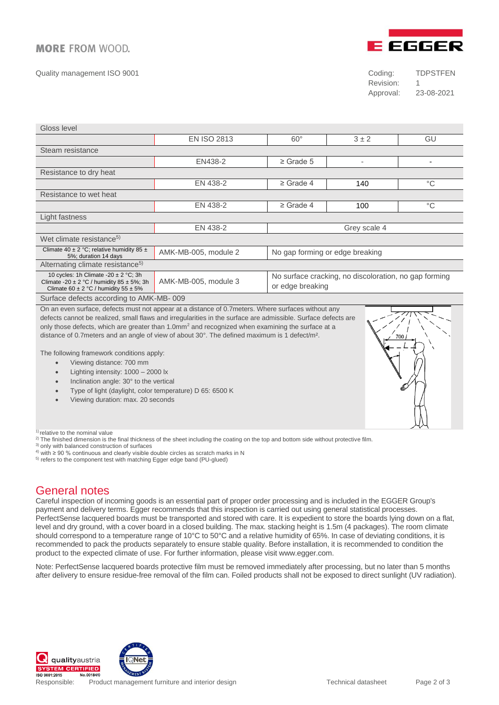#### **MORE FROM WOOD.**

Quality management ISO 9001 Coding: TDPSTFEN



Revision: 1 Approval: 23-08-2021

| Gloss level                                                                                                                                   |                                                         |                                                                           |                |             |
|-----------------------------------------------------------------------------------------------------------------------------------------------|---------------------------------------------------------|---------------------------------------------------------------------------|----------------|-------------|
|                                                                                                                                               | <b>EN ISO 2813</b>                                      | $60^\circ$                                                                | $3 \pm 2$      | GU          |
| Steam resistance                                                                                                                              |                                                         |                                                                           |                |             |
|                                                                                                                                               | EN438-2                                                 | $\geq$ Grade 5                                                            | $\blacksquare$ |             |
| Resistance to dry heat                                                                                                                        |                                                         |                                                                           |                |             |
|                                                                                                                                               | EN 438-2                                                | $\geq$ Grade 4                                                            | 140            | $^{\circ}C$ |
| Resistance to wet heat                                                                                                                        |                                                         |                                                                           |                |             |
|                                                                                                                                               | EN 438-2                                                | $\geq$ Grade 4                                                            | 100            | $^{\circ}C$ |
| Light fastness                                                                                                                                |                                                         |                                                                           |                |             |
|                                                                                                                                               | EN 438-2                                                | Grey scale 4                                                              |                |             |
| Wet climate resistance <sup>5)</sup>                                                                                                          |                                                         |                                                                           |                |             |
| Climate 40 ± 2 °C; relative humidity 85 ±<br>5%; duration 14 days                                                                             | No gap forming or edge breaking<br>AMK-MB-005, module 2 |                                                                           |                |             |
| Alternating climate resistance <sup>5)</sup>                                                                                                  |                                                         |                                                                           |                |             |
| 10 cycles: 1h Climate -20 $\pm$ 2 °C; 3h<br>Climate -20 $\pm$ 2 °C / humidity 85 $\pm$ 5%; 3h<br>Climate 60 $\pm$ 2 °C / humidity 55 $\pm$ 5% | AMK-MB-005, module 3                                    | No surface cracking, no discoloration, no gap forming<br>or edge breaking |                |             |
| Surface defects according to AMK-MB-009                                                                                                       |                                                         |                                                                           |                |             |
| On an even surface, defects must not appear at a distance of 0.7 meters. Where surfaces without any<br>$777\%$                                |                                                         |                                                                           |                |             |

defects cannot be realized, small flaws and irregularities in the surface are admissible. Surface defects are only those defects, which are greater than 1.0mm<sup>2</sup> and recognized when examining the surface at a distance of 0.7meters and an angle of view of about 30°. The defined maximum is 1 defect/m².



The following framework conditions apply:

- Viewing distance: 700 mm
- Lighting intensity: 1000 2000 lx
- Inclination angle: 30° to the vertical
- Type of light (daylight, color temperature) D 65: 6500 K
- Viewing duration: max. 20 seconds

 $1)$  relative to the nominal value

- <sup>2)</sup> The finished dimension is the final thickness of the sheet including the coating on the top and bottom side without protective film.
- 3) only with balanced construction of surfaces
- $4)$  with ≥ 90 % continuous and clearly visible double circles as scratch marks in N
- <sup>5)</sup> refers to the component test with matching Egger edge band (PU-glued)

## General notes

Careful inspection of incoming goods is an essential part of proper order processing and is included in the EGGER Group's payment and delivery terms. Egger recommends that this inspection is carried out using general statistical processes. PerfectSense lacquered boards must be transported and stored with care. It is expedient to store the boards lying down on a flat, level and dry ground, with a cover board in a closed building. The max. stacking height is 1.5m (4 packages). The room climate should correspond to a temperature range of 10°C to 50°C and a relative humidity of 65%. In case of deviating conditions, it is recommended to pack the products separately to ensure stable quality. Before installation, it is recommended to condition the product to the expected climate of use. For further information, please visit www.egger.com.

Note: PerfectSense lacquered boards protective film must be removed immediately after processing, but no later than 5 months after delivery to ensure residue-free removal of the film can. Foiled products shall not be exposed to direct sunlight (UV radiation).